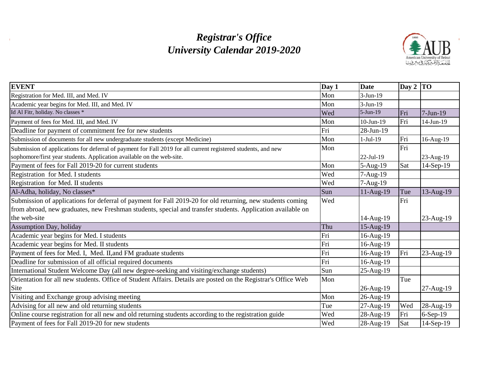# *Registrar's Office University Calendar 2019-2020*

 $\mathcal{A}$ 



| <b>EVENT</b>                                                                                                                                                                                                             | Day 1 | <b>Date</b> | Day 2 $ TO $ |              |
|--------------------------------------------------------------------------------------------------------------------------------------------------------------------------------------------------------------------------|-------|-------------|--------------|--------------|
| Registration for Med. III, and Med. IV                                                                                                                                                                                   | Mon   | 3-Jun-19    |              |              |
| Academic year begins for Med. III, and Med. IV                                                                                                                                                                           | Mon   | $3-Jun-19$  |              |              |
| Id Al Fitr, holiday. No classes *                                                                                                                                                                                        | Wed   | 5-Jun-19    | Fri          | $7-Jun-19$   |
| Payment of fees for Med. III, and Med. IV                                                                                                                                                                                | Mon   | $10-Jun-19$ | Fri          | 14-Jun-19    |
| Deadline for payment of commitment fee for new students                                                                                                                                                                  | Fri   | 28-Jun-19   |              |              |
| Submission of documents for all new undergraduate students (except Medicine)                                                                                                                                             | Mon   | $1-Jul-19$  | Fri          | 16-Aug-19    |
| Submission of applications for deferral of payment for Fall 2019 for all current registered students, and new<br>sophomore/first year students. Application available on the web-site.                                   | Mon   | 22-Jul-19   | Fri          | 23-Aug-19    |
| Payment of fees for Fall 2019-20 for current students                                                                                                                                                                    | Mon   | 5-Aug-19    | Sat          | 14-Sep-19    |
| Registration for Med. I students                                                                                                                                                                                         | Wed   | 7-Aug-19    |              |              |
| Registration for Med. II students                                                                                                                                                                                        | Wed   | $7-Aug-19$  |              |              |
| Al-Adha, holiday, No classes*                                                                                                                                                                                            | Sun   | 11-Aug-19   | Tue          | $13-Aug-19$  |
| Submission of applications for deferral of payment for Fall 2019-20 for old returning, new students coming<br>from abroad, new graduates, new Freshman students, special and transfer students. Application available on | Wed   |             | Fri          |              |
| the web-site                                                                                                                                                                                                             |       | 14-Aug-19   |              | 23-Aug-19    |
| <b>Assumption Day, holiday</b>                                                                                                                                                                                           | Thu   | 15-Aug-19   |              |              |
| Academic year begins for Med. I students                                                                                                                                                                                 | Fri   | 16-Aug-19   |              |              |
| Academic year begins for Med. II students                                                                                                                                                                                | Fri   | 16-Aug-19   |              |              |
| Payment of fees for Med. I, Med. II, and FM graduate students                                                                                                                                                            | Fri   | 16-Aug-19   | Fri          | $23$ -Aug-19 |
| Deadline for submission of all official required documents                                                                                                                                                               | Fri   | 16-Aug-19   |              |              |
| International Student Welcome Day (all new degree-seeking and visiting/exchange students)                                                                                                                                | Sun   | 25-Aug-19   |              |              |
| Orientation for all new students. Office of Student Affairs. Details are posted on the Registrar's Office Web                                                                                                            | Mon   |             | Tue          |              |
| Site                                                                                                                                                                                                                     |       | 26-Aug-19   |              | 27-Aug-19    |
| Visiting and Exchange group advising meeting                                                                                                                                                                             | Mon   | 26-Aug-19   |              |              |
| Advising for all new and old returning students                                                                                                                                                                          | Tue   | 27-Aug-19   | Wed          | 28-Aug-19    |
| Online course registration for all new and old returning students according to the registration guide                                                                                                                    | Wed   | 28-Aug-19   | Fri          | $6-Sep-19$   |
| Payment of fees for Fall 2019-20 for new students                                                                                                                                                                        | Wed   | 28-Aug-19   | Sat          | 14-Sep-19    |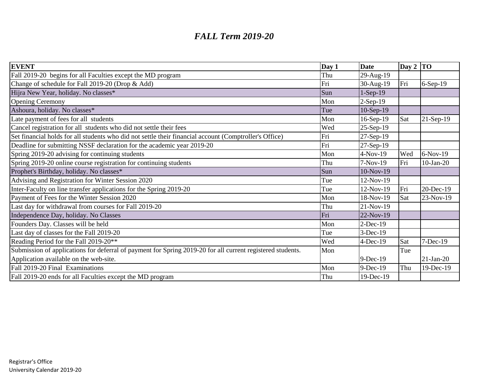### *FALL Term 2019-20*

| <b>EVENT</b>                                                                                               | Day 1 | <b>Date</b> | Day $2$ TO |             |
|------------------------------------------------------------------------------------------------------------|-------|-------------|------------|-------------|
| Fall 2019-20 begins for all Faculties except the MD program                                                | Thu   | 29-Aug-19   |            |             |
| Change of schedule for Fall 2019-20 (Drop & Add)                                                           | Fri   | 30-Aug-19   | Fri        | $6-Sep-19$  |
| Hijra New Year, holiday. No classes*                                                                       | Sun   | $1-Sep-19$  |            |             |
| <b>Opening Ceremony</b>                                                                                    | Mon   | $2-Sep-19$  |            |             |
| Ashoura, holiday. No classes*                                                                              | Tue   | $10-Sep-19$ |            |             |
| Late payment of fees for all students                                                                      | Mon   | 16-Sep-19   | Sat        | $21-Sep-19$ |
| Cancel registration for all students who did not settle their fees                                         | Wed   | 25-Sep-19   |            |             |
| Set financial holds for all students who did not settle their financial account (Comptroller's Office)     | Fri   | 27-Sep-19   |            |             |
| Deadline for submitting NSSF declaration for the academic year 2019-20                                     | Fri   | 27-Sep-19   |            |             |
| Spring 2019-20 advising for continuing students                                                            | Mon   | $4-Nov-19$  | Wed        | $6-Nov-19$  |
| Spring 2019-20 online course registration for continuing students                                          | Thu   | $7-Nov-19$  | Fri        | $10-Jan-20$ |
| Prophet's Birthday, holiday. No classes*                                                                   | Sun   | 10-Nov-19   |            |             |
| Advising and Registration for Winter Session 2020                                                          | Tue   | 12-Nov-19   |            |             |
| Inter-Faculty on line transfer applications for the Spring 2019-20                                         | Tue   | 12-Nov-19   | Fri        | 20-Dec-19   |
| Payment of Fees for the Winter Session 2020                                                                | Mon   | 18-Nov-19   | Sat        | 23-Nov-19   |
| Last day for withdrawal from courses for Fall 2019-20                                                      | Thu   | 21-Nov-19   |            |             |
| Independence Day, holiday. No Classes                                                                      | Fri   | 22-Nov-19   |            |             |
| Founders Day. Classes will be held                                                                         | Mon   | $2-Dec-19$  |            |             |
| Last day of classes for the Fall 2019-20                                                                   | Tue   | 3-Dec-19    |            |             |
| Reading Period for the Fall 2019-20**                                                                      | Wed   | $4$ -Dec-19 | Sat        | 7-Dec-19    |
| Submission of applications for deferral of payment for Spring 2019-20 for all current registered students. | Mon   |             | Tue        |             |
| Application available on the web-site.                                                                     |       | 9-Dec-19    |            | $21-Jan-20$ |
| Fall 2019-20 Final Examinations                                                                            | Mon   | 9-Dec-19    | Thu        | 19-Dec-19   |
| Fall 2019-20 ends for all Faculties except the MD program                                                  | Thu   | 19-Dec-19   |            |             |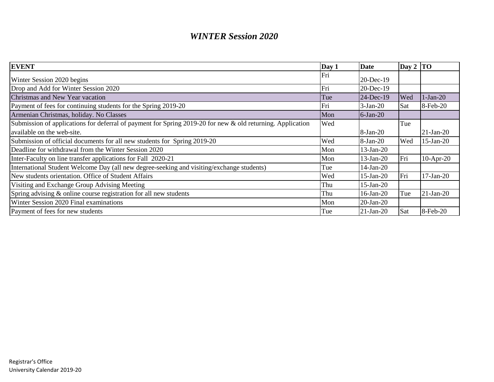## *WINTER Session 2020*

| <b>EVENT</b>                                                                                               | Day 1 | <b>Date</b>  | $\log 2 \sqrt{TO}$ |              |
|------------------------------------------------------------------------------------------------------------|-------|--------------|--------------------|--------------|
| Winter Session 2020 begins                                                                                 | Fri   | 20-Dec-19    |                    |              |
| Drop and Add for Winter Session 2020                                                                       | Fri   | 20-Dec-19    |                    |              |
| Christmas and New Year vacation                                                                            | Tue   | $24-Dec-19$  | Wed                | $1-Jan-20$   |
| Payment of fees for continuing students for the Spring 2019-20                                             | Fri   | $3-Jan-20$   | Sat                | 8-Feb-20     |
| Armenian Christmas, holiday. No Classes                                                                    | Mon   | $6$ -Jan-20  |                    |              |
| Submission of applications for deferral of payment for Spring 2019-20 for new & old returning. Application | Wed   |              | Tue                |              |
| available on the web-site.                                                                                 |       | 8-Jan-20     |                    | $21-Jan-20$  |
| Submission of official documents for all new students for Spring 2019-20                                   | Wed   | 8-Jan-20     | Wed                | $15$ -Jan-20 |
| Deadline for withdrawal from the Winter Session 2020                                                       | Mon   | $13-Jan-20$  |                    |              |
| Inter-Faculty on line transfer applications for Fall 2020-21                                               | Mon   | $13-Jan-20$  | Fri                | $10-Apr-20$  |
| International Student Welcome Day (all new degree-seeking and visiting/exchange students)                  | Tue   | $14$ -Jan-20 |                    |              |
| New students orientation. Office of Student Affairs                                                        | Wed   | $15$ -Jan-20 | Fri                | $17-Jan-20$  |
| Visiting and Exchange Group Advising Meeting                                                               | Thu   | $15$ -Jan-20 |                    |              |
| Spring advising & online course registration for all new students                                          | Thu   | $16$ -Jan-20 | Tue                | $21-Jan-20$  |
| Winter Session 2020 Final examinations                                                                     | Mon   | 20-Jan-20    |                    |              |
| Payment of fees for new students                                                                           | Tue   | $21$ -Jan-20 | Sat                | 8-Feb-20     |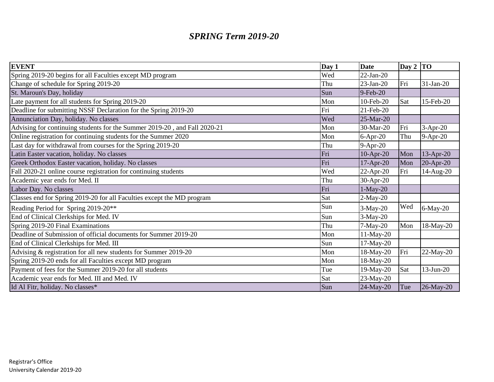## *SPRING Term 2019-20*

| <b>EVENT</b>                                                              | Day 1 | <b>Date</b>  | Day $2$ TO |              |
|---------------------------------------------------------------------------|-------|--------------|------------|--------------|
| Spring 2019-20 begins for all Faculties except MD program                 | Wed   | $22-Jan-20$  |            |              |
| Change of schedule for Spring 2019-20                                     | Thu   | $23-Jan-20$  | Fri        | $31-Jan-20$  |
| St. Maroun's Day, holiday                                                 | Sun   | $9$ -Feb-20  |            |              |
| Late payment for all students for Spring 2019-20                          | Mon   | 10-Feb-20    | Sat        | 15-Feb-20    |
| Deadline for submitting NSSF Declaration for the Spring 2019-20           | Fri   | 21-Feb-20    |            |              |
| Annunciation Day, holiday. No classes                                     | Wed   | 25-Mar-20    |            |              |
| Advising for continuing students for the Summer 2019-20, and Fall 2020-21 | Mon   | 30-Mar-20    | Fri        | $3-Apr-20$   |
| Online registration for continuing students for the Summer 2020           | Mon   | $6-Apr-20$   | Thu        | 9-Apr-20     |
| Last day for withdrawal from courses for the Spring 2019-20               | Thu   | $9-Apr-20$   |            |              |
| Latin Easter vacation, holiday. No classes                                | Fri   | 10-Apr-20    | Mon        | 13-Apr-20    |
| Greek Orthodox Easter vacation, holiday. No classes                       | Fri   | $17-Apr-20$  | Mon        | 20-Apr-20    |
| Fall 2020-21 online course registration for continuing students           | Wed   | 22-Apr-20    | Fri        | 14-Aug-20    |
| Academic year ends for Med. II                                            | Thu   | 30-Apr-20    |            |              |
| Labor Day. No classes                                                     | Fri   | $1-May-20$   |            |              |
| Classes end for Spring 2019-20 for all Faculties except the MD program    | Sat   | $2-May-20$   |            |              |
| Reading Period for Spring 2019-20**                                       | Sun   | $3-May-20$   | Wed        | $6$ -May-20  |
| End of Clinical Clerkships for Med. IV                                    | Sun   | $3-May-20$   |            |              |
| Spring 2019-20 Final Examinations                                         | Thu   | $7-May-20$   | Mon        | $18-May-20$  |
| Deadline of Submission of official documents for Summer 2019-20           | Mon   | $11-May-20$  |            |              |
| End of Clinical Clerkships for Med. III                                   | Sun   | $17-May-20$  |            |              |
| Advising & registration for all new students for Summer 2019-20           | Mon   | 18-May-20    | Fri        | $22-May-20$  |
| Spring 2019-20 ends for all Faculties except MD program                   | Mon   | 18-May-20    |            |              |
| Payment of fees for the Summer 2019-20 for all students                   | Tue   | $19-May-20$  | Sat        | $13$ -Jun-20 |
| Academic year ends for Med. III and Med. IV                               | Sat   | 23-May-20    |            |              |
| Id Al Fitr, holiday. No classes*                                          | Sun   | $24$ -May-20 | Tue        | 26-May-20    |